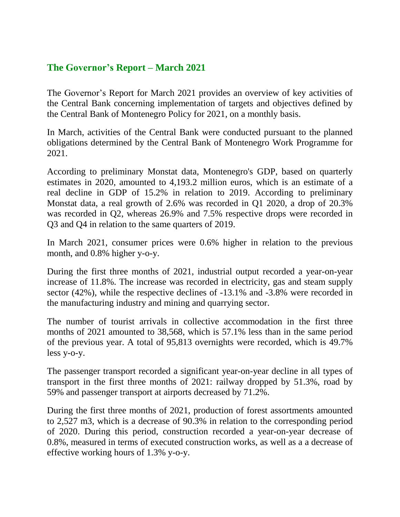## **The Governor's Report – March 2021**

The Governor's Report for March 2021 provides an overview of key activities of the Central Bank concerning implementation of targets and objectives defined by the Central Bank of Montenegro Policy for 2021, on a monthly basis.

In March, activities of the Central Bank were conducted pursuant to the planned obligations determined by the Central Bank of Montenegro Work Programme for 2021.

According to preliminary Monstat data, Montenegro's GDP, based on quarterly estimates in 2020, amounted to 4,193.2 million euros, which is an estimate of a real decline in GDP of 15.2% in relation to 2019. According to preliminary Monstat data, a real growth of 2.6% was recorded in Q1 2020, a drop of 20.3% was recorded in Q2, whereas 26.9% and 7.5% respective drops were recorded in Q3 and Q4 in relation to the same quarters of 2019.

In March 2021, consumer prices were 0.6% higher in relation to the previous month, and 0.8% higher y-o-y.

During the first three months of 2021, industrial output recorded a year-on-year increase of 11.8%. The increase was recorded in electricity, gas and steam supply sector (42%), while the respective declines of -13.1% and -3.8% were recorded in the manufacturing industry and mining and quarrying sector.

The number of tourist arrivals in collective accommodation in the first three months of 2021 amounted to 38,568, which is 57.1% less than in the same period of the previous year. A total of 95,813 overnights were recorded, which is 49.7% less y-o-y.

The passenger transport recorded a significant year-on-year decline in all types of transport in the first three months of 2021: railway dropped by 51.3%, road by 59% and passenger transport at airports decreased by 71.2%.

During the first three months of 2021, production of forest assortments amounted to 2,527 m3, which is a decrease of 90.3% in relation to the corresponding period of 2020. During this period, construction recorded a year-on-year decrease of 0.8%, measured in terms of executed construction works, as well as a a decrease of effective working hours of 1.3% y-o-y.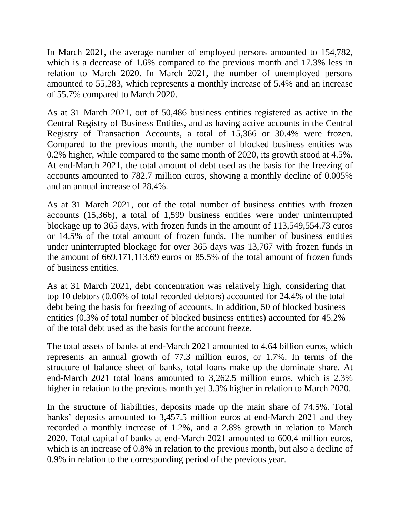In March 2021, the average number of employed persons amounted to 154,782, which is a decrease of 1.6% compared to the previous month and 17.3% less in relation to March 2020. In March 2021, the number of unemployed persons amounted to 55,283, which represents a monthly increase of 5.4% and an increase of 55.7% compared to March 2020.

As at 31 March 2021, out of 50,486 business entities registered as active in the Central Registry of Business Entities, and as having active accounts in the Central Registry of Transaction Accounts, a total of 15,366 or 30.4% were frozen. Compared to the previous month, the number of blocked business entities was 0.2% higher, while compared to the same month of 2020, its growth stood at 4.5%. At end-March 2021, the total amount of debt used as the basis for the freezing of accounts amounted to 782.7 million euros, showing a monthly decline of 0.005% and an annual increase of 28.4%.

As at 31 March 2021, out of the total number of business entities with frozen accounts (15,366), a total of 1,599 business entities were under uninterrupted blockage up to 365 days, with frozen funds in the amount of 113,549,554.73 euros or 14.5% of the total amount of frozen funds. The number of business entities under uninterrupted blockage for over 365 days was 13,767 with frozen funds in the amount of 669,171,113.69 euros or 85.5% of the total amount of frozen funds of business entities.

As at 31 March 2021, debt concentration was relatively high, considering that top 10 debtors (0.06% of total recorded debtors) accounted for 24.4% of the total debt being the basis for freezing of accounts. In addition, 50 of blocked business entities (0.3% of total number of blocked business entities) accounted for 45.2% of the total debt used as the basis for the account freeze.

The total assets of banks at end-March 2021 amounted to 4.64 billion euros, which represents an annual growth of 77.3 million euros, or 1.7%. In terms of the structure of balance sheet of banks, total loans make up the dominate share. At end-March 2021 total loans amounted to 3,262.5 million euros, which is 2.3% higher in relation to the previous month yet 3.3% higher in relation to March 2020.

In the structure of liabilities, deposits made up the main share of 74.5%. Total banks' deposits amounted to 3,457.5 million euros at end-March 2021 and they recorded a monthly increase of 1.2%, and a 2.8% growth in relation to March 2020. Total capital of banks at end-March 2021 amounted to 600.4 million euros, which is an increase of 0.8% in relation to the previous month, but also a decline of 0.9% in relation to the corresponding period of the previous year.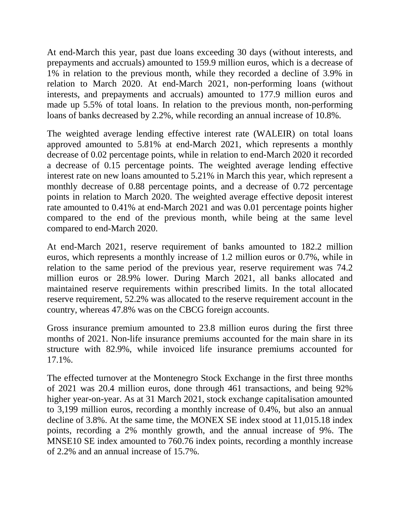At end-March this year, past due loans exceeding 30 days (without interests, and prepayments and accruals) amounted to 159.9 million euros, which is a decrease of 1% in relation to the previous month, while they recorded a decline of 3.9% in relation to March 2020. At end-March 2021, non-performing loans (without interests, and prepayments and accruals) amounted to 177.9 million euros and made up 5.5% of total loans. In relation to the previous month, non-performing loans of banks decreased by 2.2%, while recording an annual increase of 10.8%.

The weighted average lending effective interest rate (WALEIR) on total loans approved amounted to 5.81% at end-March 2021, which represents a monthly decrease of 0.02 percentage points, while in relation to end-March 2020 it recorded a decrease of 0.15 percentage points. The weighted average lending effective interest rate on new loans amounted to 5.21% in March this year, which represent a monthly decrease of 0.88 percentage points, and a decrease of 0.72 percentage points in relation to March 2020. The weighted average effective deposit interest rate amounted to 0.41% at end-March 2021 and was 0.01 percentage points higher compared to the end of the previous month, while being at the same level compared to end-March 2020.

At end-March 2021, reserve requirement of banks amounted to 182.2 million euros, which represents a monthly increase of 1.2 million euros or 0.7%, while in relation to the same period of the previous year, reserve requirement was 74.2 million euros or 28.9% lower. During March 2021, all banks allocated and maintained reserve requirements within prescribed limits. In the total allocated reserve requirement, 52.2% was allocated to the reserve requirement account in the country, whereas 47.8% was on the CBCG foreign accounts.

Gross insurance premium amounted to 23.8 million euros during the first three months of 2021. Non-life insurance premiums accounted for the main share in its structure with 82.9%, while invoiced life insurance premiums accounted for 17.1%.

The effected turnover at the Montenegro Stock Exchange in the first three months of 2021 was 20.4 million euros, done through 461 transactions, and being 92% higher year-on-year. As at 31 March 2021, stock exchange capitalisation amounted to 3,199 million euros, recording a monthly increase of 0.4%, but also an annual decline of 3.8%. At the same time, the MONEX SE index stood at 11,015.18 index points, recording a 2% monthly growth, and the annual increase of 9%. The MNSE10 SE index amounted to 760.76 index points, recording a monthly increase of 2.2% and an annual increase of 15.7%.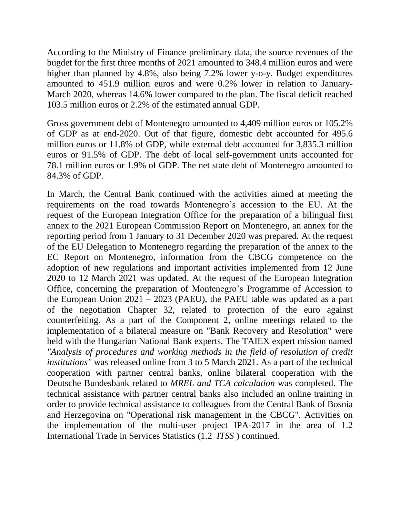According to the Ministry of Finance preliminary data, the source revenues of the bugdet for the first three months of 2021 amounted to 348.4 million euros and were higher than planned by 4.8%, also being 7.2% lower y-o-y. Budget expenditures amounted to 451.9 million euros and were 0.2% lower in relation to January-March 2020, whereas 14.6% lower compared to the plan. The fiscal deficit reached 103.5 million euros or 2.2% of the estimated annual GDP.

Gross government debt of Montenegro amounted to 4,409 million euros or 105.2% of GDP as at end-2020. Out of that figure, domestic debt accounted for 495.6 million euros or 11.8% of GDP, while external debt accounted for 3,835.3 million euros or 91.5% of GDP. The debt of local self-government units accounted for 78.1 million euros or 1.9% of GDP. The net state debt of Montenegro amounted to 84.3% of GDP.

In March, the Central Bank continued with the activities aimed at meeting the requirements on the road towards Montenegro's accession to the EU. At the request of the European Integration Office for the preparation of a bilingual first annex to the 2021 European Commission Report on Montenegro, an annex for the reporting period from 1 January to 31 December 2020 was prepared. At the request of the EU Delegation to Montenegro regarding the preparation of the annex to the EC Report on Montenegro, information from the CBCG competence on the adoption of new regulations and important activities implemented from 12 June 2020 to 12 March 2021 was updated. At the request of the European Integration Office, concerning the preparation of Montenegro's Programme of Accession to the European Union 2021 – 2023 (PAEU), the PAEU table was updated as a part of the negotiation Chapter 32, related to protection of the euro against counterfeiting. As a part of the Component 2, online meetings related to the implementation of a bilateral measure on "Bank Recovery and Resolution" were held with the Hungarian National Bank experts. The TAIEX expert mission named *"Analysis of procedures and working methods in the field of resolution of credit institutions"* was released online from 3 to 5 March 2021. As a part of the technical cooperation with partner central banks, online bilateral cooperation with the Deutsche Bundesbank related to *MREL and TCA calculation* was completed. The technical assistance with partner central banks also included an online training in order to provide technical assistance to colleagues from the Central Bank of Bosnia and Herzegovina on "Operational risk management in the CBCG"*.* Activities on the implementation of the multi-user project IPA-2017 in the area of 1.2 International Trade in Services Statistics (1.2 *ITSS* ) continued.